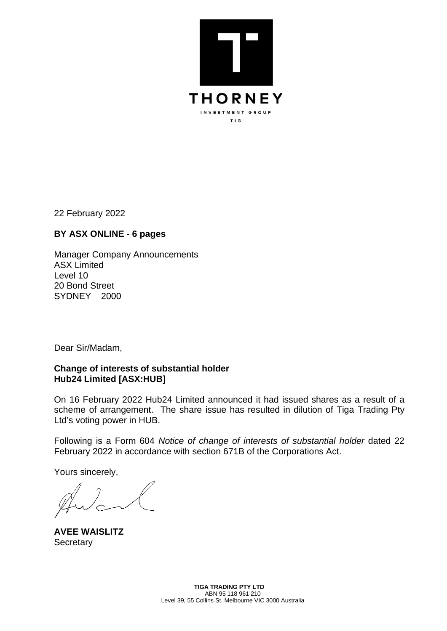

22 February 2022

## **BY ASX ONLINE - 6 pages**

Manager Company Announcements ASX Limited Level 10 20 Bond Street SYDNEY 2000

Dear Sir/Madam,

## **Change of interests of substantial holder Hub24 Limited [ASX:HUB]**

On 16 February 2022 Hub24 Limited announced it had issued shares as a result of a scheme of arrangement. The share issue has resulted in dilution of Tiga Trading Pty Ltd's voting power in HUB.

Following is a Form 604 *Notice of change of interests of substantial holder* dated 22 February 2022 in accordance with section 671B of the Corporations Act.

Yours sincerely,

**AVEE WAISLITZ Secretary**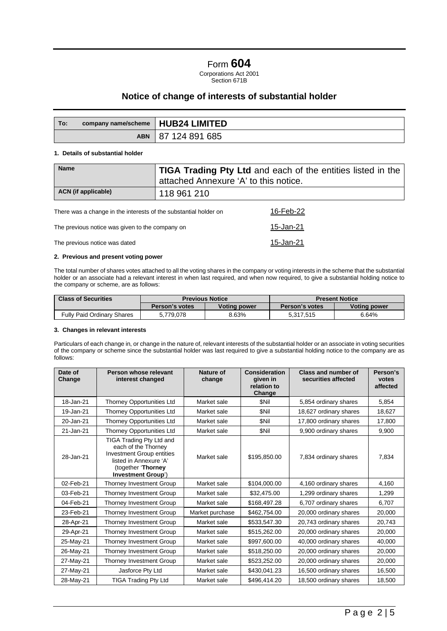# Form **604**

Corporations Act 2001 Section 671B

### **Notice of change of interests of substantial holder**

| To: | company name/scheme   HUB24 LIMITED |                  |
|-----|-------------------------------------|------------------|
|     | <b>ABN</b>                          | l 87 124 891 685 |

#### **1. Details of substantial holder**

| <b>Name</b>                                                      | <b>TIGA Trading Pty Ltd and each of the entities listed in the</b><br>attached Annexure 'A' to this notice. |  |  |
|------------------------------------------------------------------|-------------------------------------------------------------------------------------------------------------|--|--|
| ACN (if applicable)                                              | 118 961 210                                                                                                 |  |  |
| There was a change in the interests of the substantial holder on | 16-Feb-22                                                                                                   |  |  |

The previous notice was given to the company on 15-Jan-21 The previous notice was dated 15-Jan-21

#### **2. Previous and present voting power**

The total number of shares votes attached to all the voting shares in the company or voting interests in the scheme that the substantial holder or an associate had a relevant interest in when last required, and when now required, to give a substantial holding notice to the company or scheme, are as follows:

| <b>Class of Securities</b> | <b>Previous Notice</b> |                     | <b>Present Notice</b> |                     |
|----------------------------|------------------------|---------------------|-----------------------|---------------------|
|                            | Person's votes         | <b>Voting power</b> | Person's votes        | <b>Voting power</b> |
| Fully Paid Ordinary Shares | 5.779.078              | 8.63%               | 5,317,515             | 6.64%               |

#### **3. Changes in relevant interests**

Particulars of each change in, or change in the nature of, relevant interests of the substantial holder or an associate in voting securities of the company or scheme since the substantial holder was last required to give a substantial holding notice to the company are as follows:

| Date of<br>Change | Person whose relevant<br>interest changed                                                                                                                 | Nature of<br>change | <b>Consideration</b><br>given in<br>relation to<br>Change | <b>Class and number of</b><br>securities affected | Person's<br>votes<br>affected |
|-------------------|-----------------------------------------------------------------------------------------------------------------------------------------------------------|---------------------|-----------------------------------------------------------|---------------------------------------------------|-------------------------------|
| 18-Jan-21         | Thorney Opportunities Ltd                                                                                                                                 | Market sale         | \$Nil                                                     | 5,854 ordinary shares                             | 5.854                         |
| 19-Jan-21         | Thorney Opportunities Ltd                                                                                                                                 | Market sale         | \$Nil                                                     | 18,627 ordinary shares                            | 18,627                        |
| 20-Jan-21         | <b>Thorney Opportunities Ltd</b>                                                                                                                          | Market sale         | \$Nil                                                     | 17,800 ordinary shares                            | 17,800                        |
| 21-Jan-21         | Thorney Opportunities Ltd                                                                                                                                 | Market sale         | \$Nil                                                     | 9,900 ordinary shares                             | 9,900                         |
| 28-Jan-21         | TIGA Trading Pty Ltd and<br>each of the Thorney<br><b>Investment Group entities</b><br>listed in Annexure 'A'<br>(together 'Thorney<br>Investment Group') | Market sale         | \$195,850.00                                              | 7,834 ordinary shares                             | 7,834                         |
| 02-Feb-21         | Thorney Investment Group                                                                                                                                  | Market sale         | \$104,000.00                                              | 4,160 ordinary shares                             | 4,160                         |
| 03-Feb-21         | Thorney Investment Group                                                                                                                                  | Market sale         | \$32,475.00                                               | 1,299 ordinary shares                             | 1,299                         |
| 04-Feb-21         | Thorney Investment Group                                                                                                                                  | Market sale         | \$168,497.28                                              | 6,707 ordinary shares                             | 6.707                         |
| 23-Feb-21         | Thorney Investment Group                                                                                                                                  | Market purchase     | \$462.754.00                                              | 20,000 ordinary shares                            | 20.000                        |
| 28-Apr-21         | Thorney Investment Group                                                                                                                                  | Market sale         | \$533.547.30                                              | 20,743 ordinary shares                            | 20,743                        |
| 29-Apr-21         | Thorney Investment Group                                                                                                                                  | Market sale         | \$515,262.00                                              | 20,000 ordinary shares                            | 20,000                        |
| 25-May-21         | Thorney Investment Group                                                                                                                                  | Market sale         | \$997,600.00                                              | 40,000 ordinary shares                            | 40.000                        |
| 26-May-21         | Thorney Investment Group                                                                                                                                  | Market sale         | \$518,250.00                                              | 20,000 ordinary shares                            | 20,000                        |
| 27-May-21         | Thorney Investment Group                                                                                                                                  | Market sale         | \$523,252.00                                              | 20,000 ordinary shares                            | 20,000                        |
| 27-May-21         | Jasforce Pty Ltd                                                                                                                                          | Market sale         | \$430,041.23                                              | 16,500 ordinary shares                            | 16,500                        |
| 28-May-21         | <b>TIGA Trading Pty Ltd</b>                                                                                                                               | Market sale         | \$496,414.20                                              | 18,500 ordinary shares                            | 18,500                        |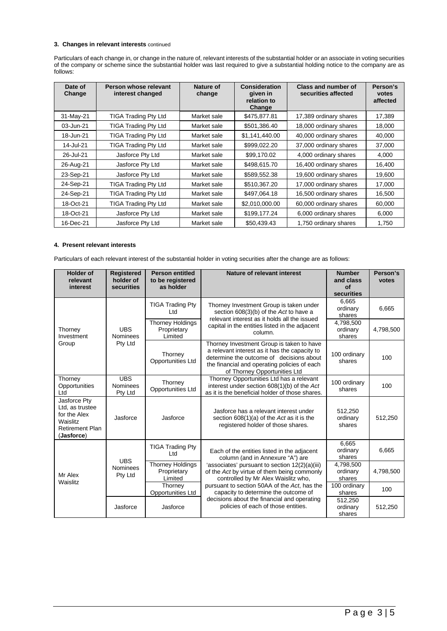#### **3. Changes in relevant interests** continued

Particulars of each change in, or change in the nature of, relevant interests of the substantial holder or an associate in voting securities of the company or scheme since the substantial holder was last required to give a substantial holding notice to the company are as follows:

| Date of<br>Change | Person whose relevant<br>interest changed | <b>Nature of</b><br>change | <b>Consideration</b><br>given in<br>relation to<br>Change | <b>Class and number of</b><br>securities affected | Person's<br>votes<br>affected |
|-------------------|-------------------------------------------|----------------------------|-----------------------------------------------------------|---------------------------------------------------|-------------------------------|
| 31-May-21         | <b>TIGA Trading Pty Ltd</b>               | Market sale                | \$475,877.81                                              | 17,389 ordinary shares                            | 17,389                        |
| 03-Jun-21         | <b>TIGA Trading Pty Ltd</b>               | Market sale                | \$501,386.40                                              | 18,000 ordinary shares                            | 18,000                        |
| 18-Jun-21         | TIGA Trading Pty Ltd                      | Market sale                | \$1,141,440.00                                            | 40,000 ordinary shares                            | 40,000                        |
| 14-Jul-21         | <b>TIGA Trading Pty Ltd</b>               | Market sale                | \$999,022.20                                              | 37,000 ordinary shares                            | 37,000                        |
| 26-Jul-21         | Jasforce Pty Ltd                          | Market sale                | \$99,170.02                                               | 4,000 ordinary shares                             | 4,000                         |
| 26-Aug-21         | Jasforce Pty Ltd                          | Market sale                | \$498,615.70                                              | 16,400 ordinary shares                            | 16,400                        |
| 23-Sep-21         | Jasforce Pty Ltd                          | Market sale                | \$589,552.38                                              | 19,600 ordinary shares                            | 19,600                        |
| 24-Sep-21         | <b>TIGA Trading Pty Ltd</b>               | Market sale                | \$510,367.20                                              | 17,000 ordinary shares                            | 17,000                        |
| 24-Sep-21         | <b>TIGA Trading Pty Ltd</b>               | Market sale                | \$497,064.18                                              | 16,500 ordinary shares                            | 16,500                        |
| 18-Oct-21         | <b>TIGA Trading Pty Ltd</b>               | Market sale                | \$2,010,000.00                                            | 60,000 ordinary shares                            | 60,000                        |
| 18-Oct-21         | Jasforce Pty Ltd                          | Market sale                | \$199,177.24                                              | 6,000 ordinary shares                             | 6,000                         |
| 16-Dec-21         | Jasforce Pty Ltd                          | Market sale                | \$50.439.43                                               | 1,750 ordinary shares                             | 1,750                         |

#### **4. Present relevant interests**

Particulars of each relevant interest of the substantial holder in voting securities after the change are as follows:

| <b>Holder of</b><br>relevant<br>interest                                                            | <b>Registered</b><br>holder of<br>securities | <b>Person entitled</b><br>to be registered<br>as holder | Nature of relevant interest                                                                                                                                                                                            | <b>Number</b><br>and class<br>of<br>securities | Person's<br>votes |
|-----------------------------------------------------------------------------------------------------|----------------------------------------------|---------------------------------------------------------|------------------------------------------------------------------------------------------------------------------------------------------------------------------------------------------------------------------------|------------------------------------------------|-------------------|
|                                                                                                     |                                              | <b>TIGA Trading Pty</b><br>Ltd                          | Thorney Investment Group is taken under<br>section 608(3)(b) of the Act to have a<br>relevant interest as it holds all the issued<br>capital in the entities listed in the adjacent<br>column.                         | 6.665<br>ordinary<br>shares                    | 6,665             |
| Thorney<br>Investment                                                                               | <b>UBS</b><br><b>Nominees</b>                | <b>Thorney Holdings</b><br>Proprietary<br>Limited       |                                                                                                                                                                                                                        | 4,798,500<br>ordinary<br>shares                | 4,798,500         |
| Group                                                                                               | Pty Ltd                                      | Thorney<br>Opportunities Ltd                            | Thorney Investment Group is taken to have<br>a relevant interest as it has the capacity to<br>determine the outcome of decisions about<br>the financial and operating policies of each<br>of Thorney Opportunities Ltd | 100 ordinary<br>shares                         | 100               |
| Thorney<br>Opportunities<br>Ltd                                                                     | <b>UBS</b><br><b>Nominees</b><br>Pty Ltd     | Thorney<br>Opportunities Ltd                            | Thorney Opportunities Ltd has a relevant<br>interest under section 608(1)(b) of the Act<br>as it is the beneficial holder of those shares.                                                                             | 100 ordinary<br>shares                         | 100               |
| Jasforce Pty<br>Ltd, as trustee<br>for the Alex<br>Waislitz<br><b>Retirement Plan</b><br>(Jasforce) | Jasforce                                     | Jasforce                                                | Jasforce has a relevant interest under<br>section 608(1)(a) of the Act as it is the<br>registered holder of those shares.                                                                                              | 512,250<br>ordinary<br>shares                  | 512,250           |
|                                                                                                     | <b>UBS</b>                                   | <b>TIGA Trading Pty</b><br>Ltd                          | Each of the entities listed in the adjacent<br>column (and in Annexure "A") are                                                                                                                                        | 6,665<br>ordinary<br>shares                    | 6,665             |
| Mr Alex<br>Waislitz                                                                                 | <b>Nominees</b><br>Pty Ltd                   | <b>Thorney Holdings</b><br>Proprietary<br>Limited       | 'associates' pursuant to section 12(2)(a)(iii)<br>of the Act by virtue of them being commonly<br>controlled by Mr Alex Waislitz who,                                                                                   | 4,798,500<br>ordinary<br>shares                | 4,798,500         |
|                                                                                                     |                                              | Thorney<br>Opportunities Ltd                            | pursuant to section 50AA of the Act, has the<br>capacity to determine the outcome of                                                                                                                                   | 100 ordinary<br>shares                         | 100               |
|                                                                                                     | <b>Jasforce</b>                              | Jasforce                                                | decisions about the financial and operating<br>policies of each of those entities.                                                                                                                                     | 512.250<br>ordinary<br>shares                  | 512,250           |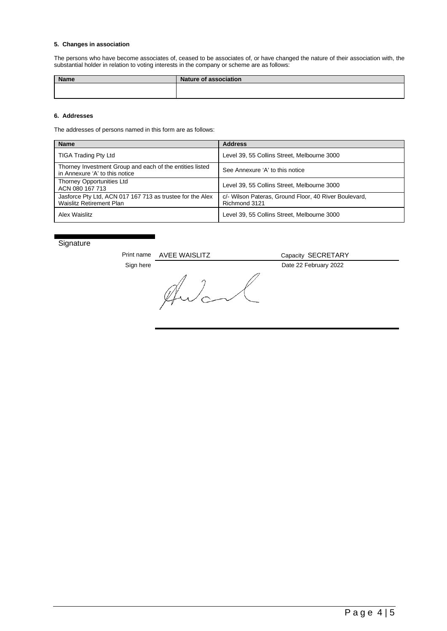#### **5. Changes in association**

The persons who have become associates of, ceased to be associates of, or have changed the nature of their association with, the substantial holder in relation to voting interests in the company or scheme are as follows:

| <b>Name</b> | <b>Nature of association</b> |
|-------------|------------------------------|
|             |                              |
|             |                              |

#### **6. Addresses**

The addresses of persons named in this form are as follows:

| <b>Name</b>                                                                                | <b>Address</b>                                                         |  |
|--------------------------------------------------------------------------------------------|------------------------------------------------------------------------|--|
| <b>TIGA Trading Pty Ltd</b>                                                                | Level 39, 55 Collins Street, Melbourne 3000                            |  |
| Thorney Investment Group and each of the entities listed<br>in Annexure 'A' to this notice | See Annexure 'A' to this notice                                        |  |
| Thorney Opportunities Ltd<br>ACN 080 167 713                                               | Level 39, 55 Collins Street, Melbourne 3000                            |  |
| Jasforce Pty Ltd, ACN 017 167 713 as trustee for the Alex<br>Waislitz Retirement Plan      | c/- Wilson Pateras, Ground Floor, 40 River Boulevard,<br>Richmond 3121 |  |
| Alex Waislitz                                                                              | Level 39, 55 Collins Street, Melbourne 3000                            |  |

#### **Signature**

Print name AVEE WAISLITZ Capacity SECRETARY Sign here Date 22 February 2022<br>
A